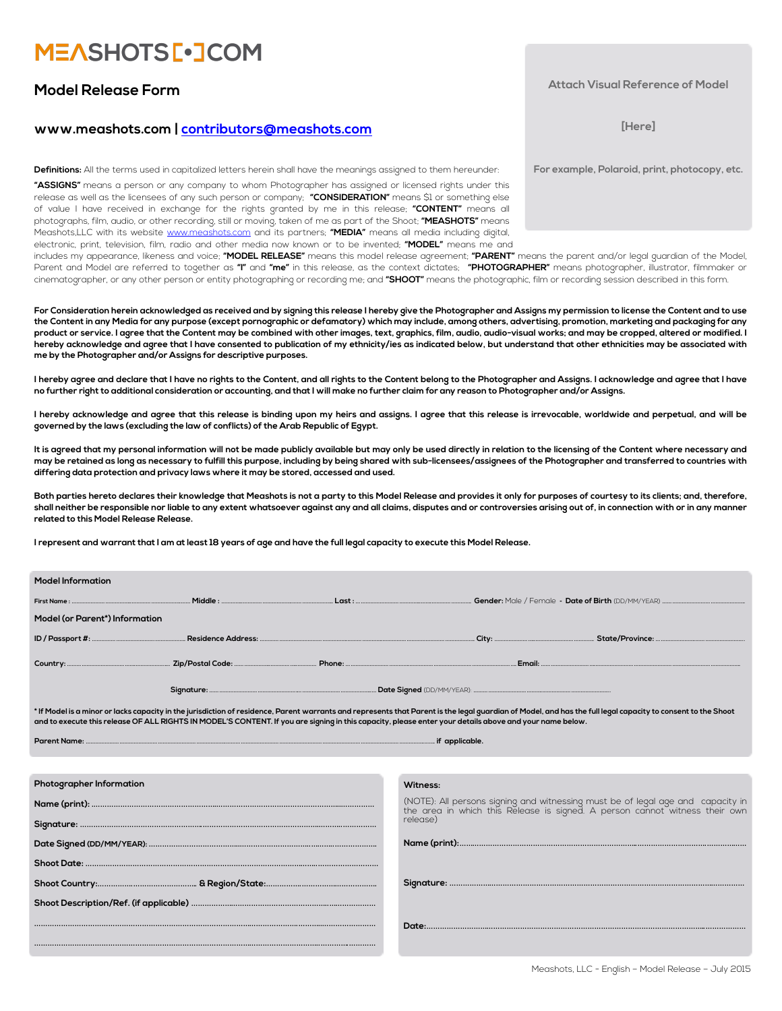# **MEASHOTS[.JCOM**

### **Model Release Form**

### **www.meashots.com | [contributors@meashots.com](mailto:contributors@meashots.com)**

**Definitions:** All the terms used in capitalized letters herein shall have the meanings assigned to them hereunder:

**"ASSIGNS"** means a person or any company to whom Photographer has assigned or licensed rights under this release as well as the licensees of any such person or company; **"CONSIDERATION"** means \$1 or something else of value I have received in exchange for the rights granted by me in this release; **"CONTENT"** means all photographs, film, audio, or other recording, still or moving, taken of me as part of the Shoot; **"MEASHOTS"** means Meashots,LLC with its website [www.meashots.com](http://www.meashots.com) and its partners; **"MEDIA"** means all media including digital, electronic, print, television, film, radio and other media now known or to be invented; **"MODEL"** means me and

includes my appearance, likeness and voice; **"MODEL RELEASE"** means this model release agreement; **"PARENT"** means the parent and/or legal guardian of the Model, Parent and Model are referred to together as **"I"** and **"me"** in this release, as the context dictates; **"PHOTOGRAPHER"** means photographer, illustrator, filmmaker or cinematographer, or any other person or entity photographing or recording me; and **"SHOOT"** means the photographic, film or recording session described in this form.

**For Consideration herein acknowledged as received and by signing this release I hereby give the Photographer and Assigns my permission to license the Content and to use the Content in any Media for any purpose (except pornographic or defamatory) which may include, among others, advertising, promotion, marketing and packaging for any product or service. I agree that the Content may be combined with other images, text, graphics, film, audio, audio-visual works; and may be cropped, altered or modified. I hereby acknowledge and agree that I have consented to publication of my ethnicity/ies as indicated below, but understand that other ethnicities may be associated with me by the Photographer and/or Assigns for descriptive purposes.** 

**I hereby agree and declare that I have no rights to the Content, and all rights to the Content belong to the Photographer and Assigns. I acknowledge and agree that I have no further right to additional consideration or accounting, and that I will make no further claim for any reason to Photographer and/or Assigns.** 

**I hereby acknowledge and agree that this release is binding upon my heirs and assigns. I agree that this release is irrevocable, worldwide and perpetual, and will be governed by the laws (excluding the law of conflicts) of the Arab Republic of Egypt.** 

**It is agreed that my personal information will not be made publicly available but may only be used directly in relation to the licensing of the Content where necessary and may be retained as long as necessary to fulfill this purpose, including by being shared with sub-licensees/assignees of the Photographer and transferred to countries with differing data protection and privacy laws where it may be stored, accessed and used.** 

**Both parties hereto declares their knowledge that Meashots is not a party to this Model Release and provides it only for purposes of courtesy to its clients; and, therefore, shall neither be responsible nor liable to any extent whatsoever against any and all claims, disputes and or controversies arising out of, in connection with or in any manner related to this Model Release Release.**

**I represent and warrant that I am at least 18 years of age and have the full legal capacity to execute this Model Release.**

| <b>Model Information</b>                                                                                                                                                                                     |  |  |  |  |  |  |
|--------------------------------------------------------------------------------------------------------------------------------------------------------------------------------------------------------------|--|--|--|--|--|--|
|                                                                                                                                                                                                              |  |  |  |  |  |  |
| Model (or Parent*) Information                                                                                                                                                                               |  |  |  |  |  |  |
|                                                                                                                                                                                                              |  |  |  |  |  |  |
|                                                                                                                                                                                                              |  |  |  |  |  |  |
|                                                                                                                                                                                                              |  |  |  |  |  |  |
| * If Model is a minor or lacks capacity in the jurisdiction of residence. Parent warrants and represents that Parent is the legal quardian of Model, and has the full legal capacity to consent to the Shoot |  |  |  |  |  |  |

**\* If Model is a minor or lacks capacity in the jurisdiction of residence, Parent warrants and represents that Parent is the legal guardian of Model, and has the full legal capacity to consent to the Shoot and to execute this release OF ALL RIGHTS IN MODEL'S CONTENT. If you are signing in this capacity, please enter your details above and your name below.** 

| -<br>Pare |  |
|-----------|--|
|-----------|--|

| Photographer Information                                     | Witness:                                                                                                                                                    |  |  |
|--------------------------------------------------------------|-------------------------------------------------------------------------------------------------------------------------------------------------------------|--|--|
|                                                              | (NOTE): All persons signing and witnessing must be of legal age and capacity in the area in which this Release is signed. A person cannot witness their own |  |  |
|                                                              | release)                                                                                                                                                    |  |  |
| Date Signed (DD/MM/YEAR): ………………………………………………………………………………………… |                                                                                                                                                             |  |  |
|                                                              |                                                                                                                                                             |  |  |
|                                                              |                                                                                                                                                             |  |  |
|                                                              |                                                                                                                                                             |  |  |
|                                                              |                                                                                                                                                             |  |  |
|                                                              |                                                                                                                                                             |  |  |

#### **Attach Visual Reference of Model**

**[Here]** 

**For example, Polaroid, print, photocopy, etc.**